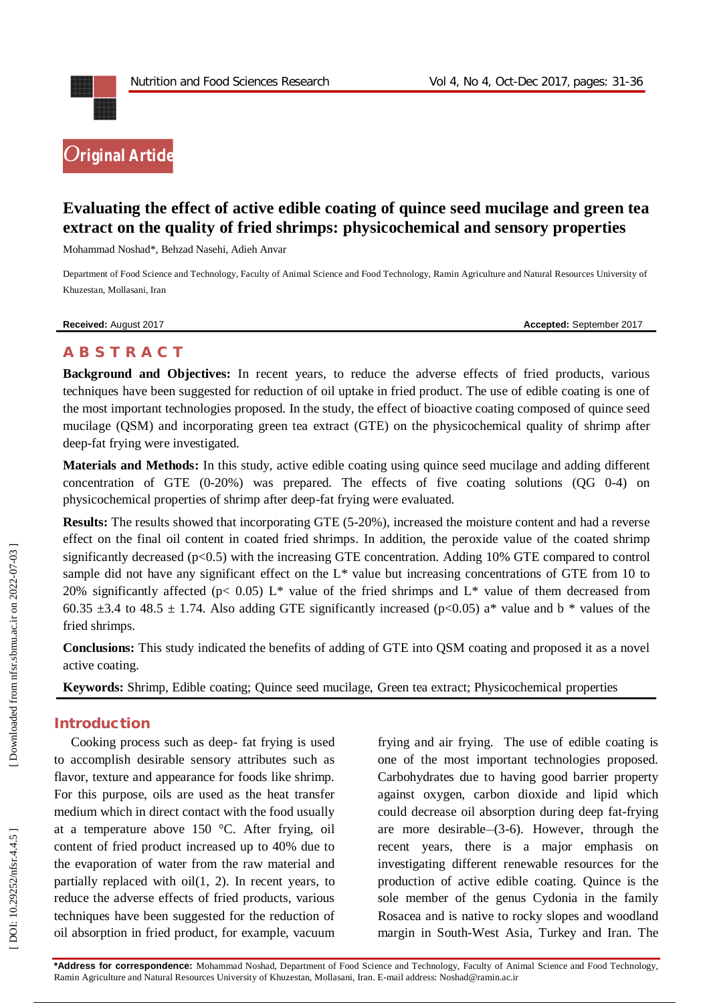

# **Evaluating the effect of active edible coating of quince seed mucilage and green tea extract on the quality of fried shrimps: physicochemical and sensory properties**

Mohammad Noshad \*, Behzad Nasehi, Adieh Anvar

Department of Food Science and Technology, Faculty of Animal Science and Food Technology, Ramin Agriculture and Natural Resources University of Khuzestan, Mollasani, Iran

**Received:** August 201

7 **Accepted:** September 201 7

# **A B S T R A C T**

**Background and Objectives:** In recent years, to reduce the adverse effects of fried products, various techniques have been suggested for reduction of oil uptake in fried product. The use of edible coating is one of the most important technologies proposed. In the study, the effect of bioactive coating composed of quince seed mucilage (QSM) and incorporating green tea extract (GTE) on the physicochemical quality of shrimp after deep -fat frying were investigated.

**Materials and Methods:** In this study, active edible coating using quince seed mucilage and adding different concentration of GTE (0 -20%) was prepared. The effects of five coating solutions (QG 0 -4) on physicochemical properties of shrimp after deep -fat frying were evaluated.

**Results:** The results showed that incorporating GTE (5-20%), increased the moisture content and had a reverse effect on the final oil content in coated fried shrimps. In addition, the peroxide value of the coated shrimp significantly decreased (p<0.5) with the increasing GTE concentration. Adding 10% GTE compared to control sample did not have any significant effect on the  $L^*$  value but increasing concentrations of GTE from 10 to 20% significantly affected (p< 0.05) L<sup>\*</sup> value of the fried shrimps and L<sup>\*</sup> value of them decreased from 60.35  $\pm$ 3.4 to 48.5  $\pm$  1.74. Also adding GTE significantly increased (p<0.05) a\* value and b \* values of the fried shrimps.

**Conclusions:** This study indicated the benefits of adding of GTE into QSM coating and proposed it as a novel active coating.

**Keywords:** Shrimp , Edible coating; Quince seed mucilage , Green tea extract; Physicochemical properties

### **Introduction**

Cooking process such as deep - fat frying is used to accomplish desirable sensory attributes such as flavor, texture and appearance for foods like shrimp. For this purpose, oils are used as the heat transfer medium which in direct contact with the food usually at a temperature above 150 °C. After frying, oil content of fried product increased up to 40% due to the evaporation of water from the raw material and partially replaced with oil(1, 2). In recent years, to reduce the adverse effects of fried products, various techniques have been suggested for the reduction of oil absorption in fried product, for example, vacuum

frying and air frying. The use of edible coating is one of the most important technologies proposed. Carbohydrates due to having good barrier property against oxygen, carbon dioxide and lipid which could decrease oil absorption during deep fat -frying are more desirable–(3-6). However, through the recent years, there is a major emphasis on investigating different renewable resources for the production of active edible coating. Quince is the sole member of the genus Cydonia in the family Rosacea and is native to rocky slopes and woodland margin in South -West Asia, Turkey and Iran. The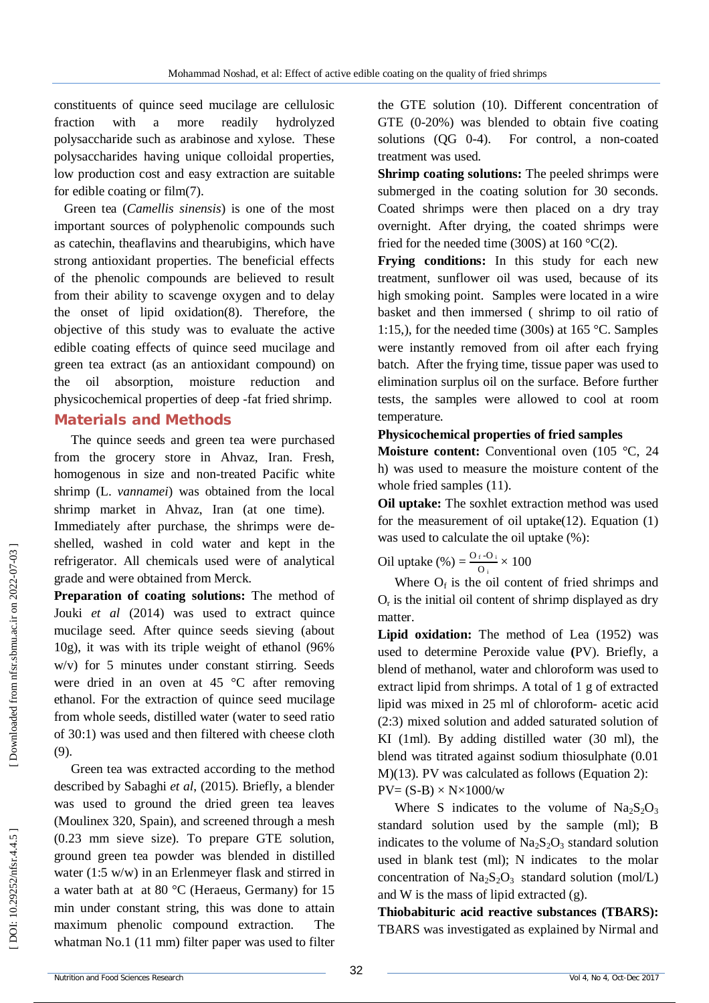constituents of quince seed mucilage are cellulosic fraction with a more readily hydrolyzed polysaccharide such as arabinose and xylose. These polysaccharides having unique colloidal properties, low production cost and easy extraction are suitable for edible coating or film(7).

Green tea (*Camellis sinensis*) is one of the most important sources of polyphenolic compounds such as catechin, theaflavins and thearubigins, which have strong antioxidant properties. The beneficial effects of the phenolic compounds are believed to result from their ability to scavenge oxygen and to delay the onset of lipid oxidation(8). Therefore, the objective of this study was to evaluate the active edible coating effects of quince seed mucilage and green tea extract (as an antioxidant compound) on the oil absorption, moisture reduction and physicochemical properties of deep -fat fried shrimp.

#### **Material s and Methods**

The quince seeds and green tea were purchased from the grocery store in Ahvaz, Iran. Fresh, homogenous in size and non -treated Pacific white shrimp (L. *vannamei*) was obtained from the local shrimp market in Ahvaz, Iran (at one time). Immediately after purchase, the shrimps were deshelled, washed in cold water and kept in the refrigerator. All chemicals used were of analytical grade and were obtained from Merck.

**Preparation of coating solutions:** The method of Jouki *et al* (2014) was used to extract quince mucilage seed. After quince seeds sieving (about 10g), it was with its triple weight of ethanol (96% w/v) for 5 minutes under constant stirring. Seeds were dried in an oven at 45 °C after removing ethanol. For the extraction of quince seed mucilage from whole seeds, distilled water (water to seed ratio of 30:1) was used and then filtered with cheese cloth (9) .

Green tea was extracted according to the method described by Sabaghi *et al*, (2015). Briefly, a blender was used to ground the dried green tea leaves (Moulinex 320, Spain), and screened through a mesh (0.23 mm sieve size). To prepare GTE solution, ground green tea powder was blended in distilled water (1:5 w/w) in an Erlenmeyer flask and stirred in a water bath at at 80 °C (Heraeus, Germany) for 15 min under constant string, this was done to attain maximum phenolic compound extraction. The whatman No.1 (11 mm) filter paper was used to filter

the GTE solution (10). Different concentration of GTE (0 -20%) was blended to obtain five coating solutions  $(OG \ 0-4)$ . -4). For control, a non -coated treatment was used.

**Shrimp coating solutions:** The peeled shrimps were submerged in the coating solution for 30 seconds. Coated shrimps were then placed on a dry tray overnight. After drying, the coated shrimps were fried for the needed time (300S) at  $160^{\circ}C(2)$ .

**Frying conditions:** In this study for each new treatment, sunflower oil was used, because of its high smoking point. Samples were located in a wire basket and then immersed ( shrimp to oil ratio of 1:15,), for the needed time (300s) at 165 °C. Samples were instantly removed from oil after each frying batch. After the frying time, tissue paper was used to elimination surplus oil on the surface. Before further tests, the samples were allowed to cool at room temperature.

#### **Physicochemical properties of fried samples**

**Moisture content:** Conventional oven (105 °C, 24) h) was used to measure the moisture content of the whole fried samples (11).

**Oil uptake:** The soxhlet extraction method was used for the measurement of oil uptake $(12)$ . Equation  $(1)$ was used to calculate the oil uptake (%):

Oil uptake  $\left(\% \right) = \frac{O_f - O_i}{O}$  $\frac{1}{100} \times 100$ 

Where  $O_f$  is the oil content of fried shrimps and  $O<sub>r</sub>$  is the initial oil content of shrimp displayed as dry matter.

**Lipid oxidation:** The method of Lea (1952) was used to determine Peroxide value **(**PV). Briefly, a blend of methanol, water and chloroform was used to extract lipid from shrimps. A total of 1 g of extracted lipid was mixed in 25 ml of chloroform - acetic acid (2:3) mixed solution and added saturated solution of KI (1ml). By adding distilled water (30 ml), the blend was titrated against sodium thiosulphate (0.01 M)(13). PV was calculated as follows (Equation 2):  $PV=(S-B)\times N\times1000/w$ 

Where S indicates to the volume of  $Na<sub>2</sub>S<sub>2</sub>O<sub>3</sub>$ standard solution used by the sample (ml); B indicates to the volume of  $Na<sub>2</sub>S<sub>2</sub>O<sub>3</sub>$  standard solution used in blank test (ml); N indicates to the molar concentration of  $Na<sub>2</sub>S<sub>2</sub>O<sub>3</sub>$  standard solution (mol/L) and W is the mass of lipid extracted  $(g)$ .

**Thiobabituric acid reactive substances (TBARS) :** TBARS was investigated as explained by Nirmal and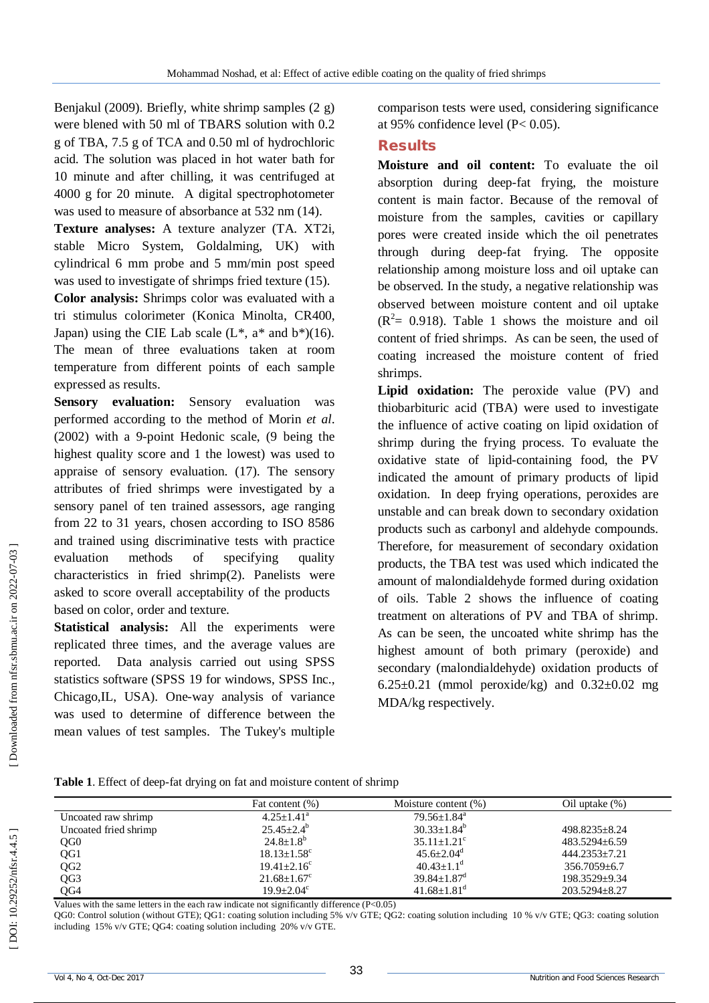Benjakul (2009). Briefly, white shrimp samples (2 g) were blened with 50 ml of TBARS solution with 0.2 g of TBA, 7.5 g of TCA and 0.50 ml of hydrochloric acid. The solution was placed in hot water bath for 10 minute and after chilling, it was centrifuged at 4000 g for 20 minute. A digital spectrophotometer was used to measure of absorbance at 532 nm (14).

**Texture analyses:** A texture analyzer (TA. XT2i, stable Micro System, Goldalming, UK) with cylindrical 6 mm probe and 5 mm/min post speed was used to investigate of shrimps fried texture (15).

**Color analysis:** Shrimps color was evaluated with a tri stimulus colorimeter (Konica Minolta, CR400, Japan) using the CIE Lab scale  $(L^*, a^*$  and  $b^*(16)$ . The mean of three evaluations taken at room temperature from different points of each sample expressed as results.

**Sensory evaluation:** Sensory evaluation was performed according to the method of Morin *et al*. (2002) with a 9 -point Hedonic scale, (9 being the highest quality score and 1 the lowest) was used to appraise of sensory evaluation. (17). The sensory attributes of fried shrimps were investigated by a sensory panel of ten trained assessors, age ranging from 22 to 31 years, chosen according to ISO 8586 and trained using discriminative tests with practice evaluation methods of specifying quality characteristics in fried shrimp(2). Panelists were asked to score overall acceptability of the products based on color, order and texture.

**Statistical analysis:** All the experiments were replicated three times, and the average values are reported. Data analysis carried out using SPSS statistics software (SPSS 19 for windows, SPSS Inc., Chicago,IL, USA). One -way analysis of variance was used to determine of difference between the mean values of test samples. The Tukey's multiple

comparison tests were used, considering significance at 95% confidence level (P< 0.05).

#### **Results**

**Moisture and oil content:** To evaluate the oil absorption during deep -fat frying, the moisture content is main factor. Because of the removal of moisture from the samples, cavities or capillary pores were created inside which the oil penetrates through during deep -fat frying. The opposite relationship among moisture loss and oil uptake can be observed. In the study, a negative relationship was observed between moisture content and oil uptake  $(R<sup>2</sup>= 0.918)$ . Table 1 shows the moisture and oil content of fried shrimps. As can be seen, the used of coating increased the moisture content of fried shrimps.

**Lipid oxidation:** The peroxide value (PV) and thiobarbituric acid (TBA) were used to investigate the influence of active coating on lipid oxidation of shrimp during the frying process. To evaluate the oxidative state of lipid -containing food, the PV indicated the amount of primary products of lipid oxidation. In deep frying operations, peroxides are unstable and can break down to secondary oxidation products such as carbonyl and aldehyde compounds. Therefore, for measurement of secondary oxidation products, the TBA test was used which indicated the amount of malondialdehyde formed during oxidation of oils. Table 2 shows the influence of coating treatment on alterations of PV and TBA of shrimp. As can be seen, the uncoated white shrimp has the highest amount of both primary (peroxide) and secondary (malondialdehyde) oxidation products of 6.25 $\pm$ 0.21 (mmol peroxide/kg) and 0.32 $\pm$ 0.02 mg MDA/kg respectively.

Table 1. Effect of deep-fat drying on fat and moisture content of shrimp

|                       | Fat content (%)               | Moisture content $(\%)$       | Oil uptake $(\%)$  |
|-----------------------|-------------------------------|-------------------------------|--------------------|
| Uncoated raw shrimp   | $4.25 + 1.41^a$               | $79.56 + 1.84$ <sup>a</sup>   |                    |
| Uncoated fried shrimp | $25.45 \pm 2.4^b$             | $30.33 + 1.84^b$              | 498.8235+8.24      |
| QG <sub>0</sub>       | $24.8 \pm 1.8^{\circ}$        | $35.11 + 1.21^{\circ}$        | $483.5294 + 6.59$  |
| QG1                   | $18.13 \pm 1.58$ <sup>c</sup> | $45.6 + 2.04^d$               | 444.2353+7.21      |
| QG <sub>2</sub>       | $19.41 + 2.16^c$              | $40.43 \pm 1.1$ <sup>d</sup>  | $356.7059 \pm 6.7$ |
| QG3                   | $21.68 \pm 1.67$ <sup>c</sup> | $39.84 \pm 1.87$ <sup>d</sup> | 198.3529+9.34      |
| QG4                   | $19.9 + 2.04^c$               | $41.68 \pm 1.81$ <sup>d</sup> | 203.5294+8.27      |

Values with the same letters in the each raw indicate not significantly difference (P<0.05)

QG0: Control solution (without GTE); QG1: coating solution including 5% v/v GTE; QG2: coating solution including 10 % v/v GTE; QG3: coating solution including 15% v/v GTE; QG4: coating solution including 20% v/v GTE.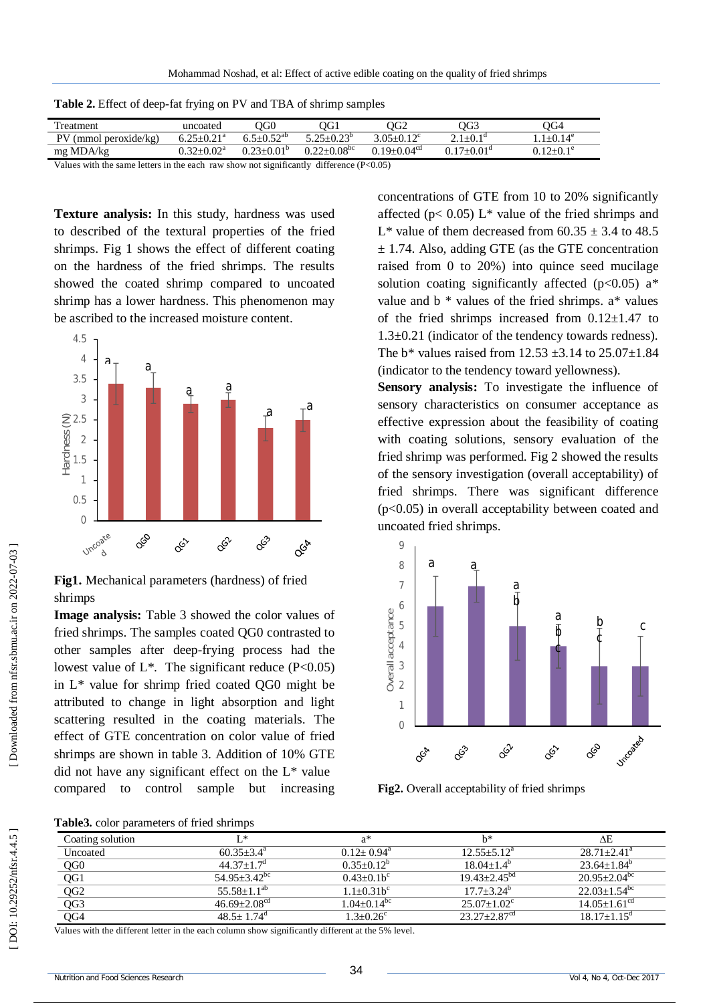| Treatment                                                                                 | uncoated                     | OOC                          | ЭG1                         | OG2                         | OG3                 | $\overline{O}G4$ |
|-------------------------------------------------------------------------------------------|------------------------------|------------------------------|-----------------------------|-----------------------------|---------------------|------------------|
| $PV$ (mmol peroxide/kg)                                                                   | $6.25 \pm 0.21$ <sup>a</sup> | $6.5 + 0.52$ <sup>ab</sup>   | $5.25 + 0.23^{\circ}$       | $3.05 + 0.12$ <sup>c</sup>  | $2.1 + 0.1d$        | $1+0.14^e$       |
| mg MDA/kg                                                                                 | $0.32 + 0.02^a$              | $0.23 \pm 0.01$ <sup>p</sup> | $0.22 + 0.08$ <sup>bc</sup> | $0.19 + 0.04$ <sup>cd</sup> | $0.17+0.01^{\circ}$ | $0.12+0.1^e$     |
| Values with the same letters in the each raw show not significantly difference $(D<0.05)$ |                              |                              |                             |                             |                     |                  |

**Table 2.** Effect of deep -fat frying on PV and TBA of shrimp samples

with the same letters in the each raw show not significantly difference  $(P<0.05)$ 

**Texture analysis:** In this study, hardness was used to described of the textural properties of the fried shrimps. Fig 1 shows the effect of different coating on the hardness of the fried shrimps. The results showed the coated shrimp compared to uncoated shrimp has a lower hardness. This phenomenon may be ascribed to the increased moisture content.



**Fig1.** Mechanical parameters (hardness) of fried shrimps

**Image analysis:** Table 3 showed the color values of fried shrimps. The samples coated QG0 contrasted to other samples after deep -frying process had the lowest value of  $L^*$ . The significant reduce (P<0.05) in L\* value for shrimp fried coated QG0 might be attributed to change in light absorption and light scattering resulted in the coating materials. The effect of GTE concentration on color value of fried shrimps are shown in table 3. Addition of 10% GTE did not have any significant effect on the  $L^*$  value compared to control sample but increasing **Fig1.** Mechanical parameters (hardness) of fried<br>
shrimps<br> **Fig1.** Mechanical parameters (hardness) of fried<br>
shrimps The samples coated QG0 contrasted to<br>
other samples after deep-frying process had the<br>
lowest value of

concentrations of GTE from 10 to 20% significantly affected ( $p$ < 0.05) L<sup>\*</sup> value of the fried shrimps and L<sup>\*</sup> value of them decreased from  $60.35 \pm 3.4$  to 48.5  $\pm$  1.74. Also, adding GTE (as the GTE concentration raised from 0 to 20%) into quince seed mucilage solution coating significantly affected ( $p<0.05$ ) a<sup>\*</sup> value and  $b *$  values of the fried shrimps.  $a *$  values of the fried shrimps increased from  $0.12 \pm 1.47$  to 1.3±0.21 (indicator of the tendency towards redness). The  $b^*$  values raised from 12.53  $\pm$ 3.14 to 25.07 $\pm$ 1.84 (indicator to the tendency toward yellowness).

**Sensory analysis:** To investigate the influence of sensory characteristics on consumer acceptance as effective expression about the feasibility of coating with coating solutions, sensory evaluation of the fried shrimp was performed. Fig 2 showed the results of the sensory investigation (overall acceptability) of fried shrimps. There was significant difference (p<0.05) in overall acceptability between coated and uncoated fried shrimps.



**Fig2.** Overall acceptability of fried shrimps

**Table3.** color parameters of fried shrimps

| Coating solution | T *                          | a*                          | h*                           | ΛE                               |
|------------------|------------------------------|-----------------------------|------------------------------|----------------------------------|
| Uncoated         | $60.35 + 3.4^{\circ}$        | $0.12+0.94^{\text{a}}$      | $12.55 + 5.12^a$             | $28.71 + 2.41^a$                 |
| QG <sub>0</sub>  | $44.37 + 1.7d$               | $0.35+0.12^b$               | $18.04 + 1.4^b$              | $23.64 + 1.84^b$                 |
| QG1              | $54.95 + 3.42$ <sup>bc</sup> | $0.43+0.1b^c$               | $19.43 + 2.45^{bd}$          | $20.95 + 2.04$ <sup>bc</sup>     |
| QG <sub>2</sub>  | $55.58 + 1.1^{ab}$           | $1.1 + 0.31b^{c}$           | $17.7 + 3.24^b$              | $22.03 \pm 1.54^{\overline{bc}}$ |
| QG3              | $46.69 + 2.08^{cd}$          | $1.04 + 0.14$ <sup>bc</sup> | $25.07+1.02^{\circ}$         | $14.05 + 1.61^{\text{cd}}$       |
| QG4              | $48.5 + 1.74$ <sup>d</sup>   | $1.3 + 0.26^c$              | $23.27 + 2.87$ <sup>cd</sup> | $18.17 + 1.15$ <sup>d</sup>      |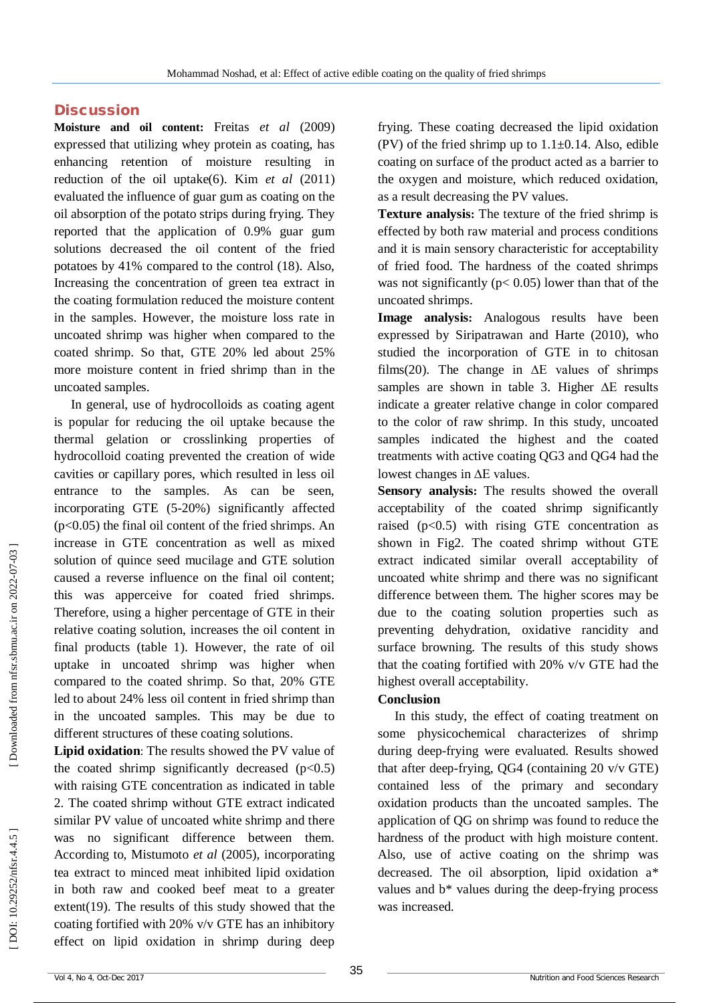#### **Discussion**

**Moisture and oil content:** Freitas *et al* (2009) expressed that utilizing whey protein as coating, has enhancing retention of moisture resulting in reduction of the oil uptake(6). Kim *et al* (2011) evaluated the influence of guar gum as coating on the oil absorption of the potato strips during frying. They reported that the application of 0.9% guar gum solutions decreased the oil content of the fried potatoes by 41% compared to the control (18) . Also, Increasing the concentration of green tea extract in the coating formulation reduced the moisture content in the samples. However, the moisture loss rate in uncoated shrimp was higher when compared to the coated shrimp. So that, GTE 20% led about 25% more moisture content in fried shrimp than in the uncoated samples.

In general, use of hydrocolloids as coating agent is popular for reducing the oil uptake because the thermal gelation or crosslinking properties of hydrocolloid coating prevented the creation of wide cavities or capillary pores, which resulted in less oil entrance to the samples. As can be seen, incorporating GTE (5 -20%) significantly affected  $(p<0.05)$  the final oil content of the fried shrimps. An increase in GTE concentration as well as mixed solution of quince seed mucilage and GTE solution caused a reverse influence on the final oil content; this was apperceive for coated fried shrimps. Therefore, using a higher percentage of GTE in their relative coating solution, increases the oil content in final products (table 1). However, the rate of oil uptake in uncoated shrimp was higher when compared to the coated shrimp. So that, 20% GTE led to about 24% less oil content in fried shrimp than in the uncoated samples. This may be due to different structures of these coating solutions.

**Lipid oxidation**: The results showed the PV value of the coated shrimp significantly decreased  $(p<0.5)$ with raising GTE concentration as indicated in table 2. The coated shrimp without GTE extract indicated similar PV value of uncoated white shrimp and there was no significant difference between them. According to, Mistumoto *et al* (2005), incorporating tea extract to minced meat inhibited lipid oxidation in both raw and cooked beef meat to a greater extent(19). The results of this study showed that the coating fortified with 20% v/v GTE has an inhibitory effect on lipid oxidation in shrimp during deep

frying. These coating decreased the lipid oxidation (PV) of the fried shrimp up to  $1.1\pm0.14$ . Also, edible coating on surface of the product acted as a barrier to the oxygen and moisture, which reduced oxidation, as a result decreasing the PV values.

**Texture analysis:** The texture of the fried shrimp is effected by both raw material and process conditions and it is main sensory characteristic for acceptability of fried food. The hardness of the coated shrimps was not significantly ( $p < 0.05$ ) lower than that of the uncoated shrimps.

**Image analysis:** Analogous results have been expressed by Siripatrawan and Harte (2010), who studied the incorporation of GTE in to chitosan films(20). The change in  $\Delta E$  values of shrimps samples are shown in table 3. Higher ∆E results indicate a greater relative change in color compared to the color of raw shrimp. In this study, uncoated samples indicated the highest and the coated treatments with active coating QG3 and QG4 had the lowest changes in ∆E values.

**Sensory analysis:** The results showed the overall acceptability of the coated shrimp significantly raised  $(p<0.5)$  with rising GTE concentration as shown in Fig2. The coated shrimp without GTE extract indicated similar overall acceptability of uncoated white shrimp and there was no significant difference between them. The higher scores may be due to the coating solution properties such as preventing dehydration, oxidative rancidity and surface browning. The results of this study shows that the coating fortified with 20% v/v GTE had the highest overall acceptability.

#### **Conclusion**

In this study, the effect of coating treatment on some physicochemical characterizes of shrimp during deep -frying were evaluated. Results showed that after deep -frying, QG4 (containing 20 v/v GTE) contained less of the primary and secondary oxidation products than the uncoated samples. The application of QG on shrimp was found to reduce the hardness of the product with high moisture content. Also, use of active coating on the shrimp was decreased. The oil absorption, lipid oxidation a\* values and b\* values during the deep -frying process was increased.